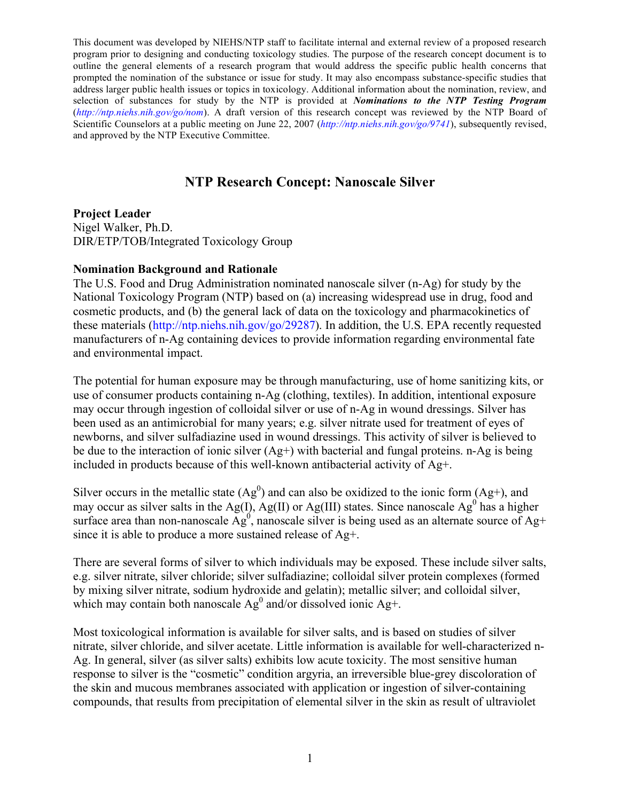This document was developed by NIEHS/NTP staff to facilitate internal and external review of a proposed research program prior to designing and conducting toxicology studies. The purpose of the research concept document is to outline the general elements of a research program that would address the specific public health concerns that prompted the nomination of the substance or issue for study. It may also encompass substance-specific studies that address larger public health issues or topics in toxicology. Additional information about the nomination, review, and selection of substances for study by the NTP is provided at *Nominations to the NTP Testing Program*  (*http://ntp.niehs.nih.gov/go/nom*). A draft version of this research concept was reviewed by the NTP Board of Scientific Counselors at a public meeting on June 22, 2007 (*http://ntp.niehs.nih.gov/go/9741*), subsequently revised, and approved by the NTP Executive Committee.

# NTP Research Concept: Nanoscale Silver

Project Leader Nigel Walker, Ph.D. DIR/ETP/TOB/Integrated Toxicology Group

#### Nomination Background and Rationale

The U.S. Food and Drug Administration nominated nanoscale silver (n-Ag) for study by the National Toxicology Program (NTP) based on (a) increasing widespread use in drug, food and cosmetic products, and (b) the general lack of data on the toxicology and pharmacokinetics of these materials (http://ntp.niehs.nih.gov/go/29287). In addition, the U.S. EPA recently requested manufacturers of n-Ag containing devices to provide information regarding environmental fate and environmental impact.

The potential for human exposure may be through manufacturing, use of home sanitizing kits, or use of consumer products containing n-Ag (clothing, textiles). In addition, intentional exposure may occur through ingestion of colloidal silver or use of n-Ag in wound dressings. Silver has been used as an antimicrobial for many years; e.g. silver nitrate used for treatment of eyes of newborns, and silver sulfadiazine used in wound dressings. This activity of silver is believed to be due to the interaction of ionic silver (Ag+) with bacterial and fungal proteins. n-Ag is being included in products because of this well-known antibacterial activity of Ag+.

Silver occurs in the metallic state  $(Ag^0)$  and can also be oxidized to the ionic form  $(Ag^+)$ , and may occur as silver salts in the Ag(I), Ag(II) or Ag(III) states. Since nanoscale Ag<sup>0</sup> has a higher surface area than non-nanoscale  $\overline{Ag}^0$ , nanoscale silver is being used as an alternate source of Ag+ since it is able to produce a more sustained release of Ag+.

There are several forms of silver to which individuals may be exposed. These include silver salts, e.g. silver nitrate, silver chloride; silver sulfadiazine; colloidal silver protein complexes (formed by mixing silver nitrate, sodium hydroxide and gelatin); metallic silver; and colloidal silver, which may contain both nanoscale  $Ag^0$  and/or dissolved ionic Ag+.

Most toxicological information is available for silver salts, and is based on studies of silver nitrate, silver chloride, and silver acetate. Little information is available for well-characterized n-Ag. In general, silver (as silver salts) exhibits low acute toxicity. The most sensitive human response to silver is the "cosmetic" condition argyria, an irreversible blue-grey discoloration of the skin and mucous membranes associated with application or ingestion of silver-containing compounds, that results from precipitation of elemental silver in the skin as result of ultraviolet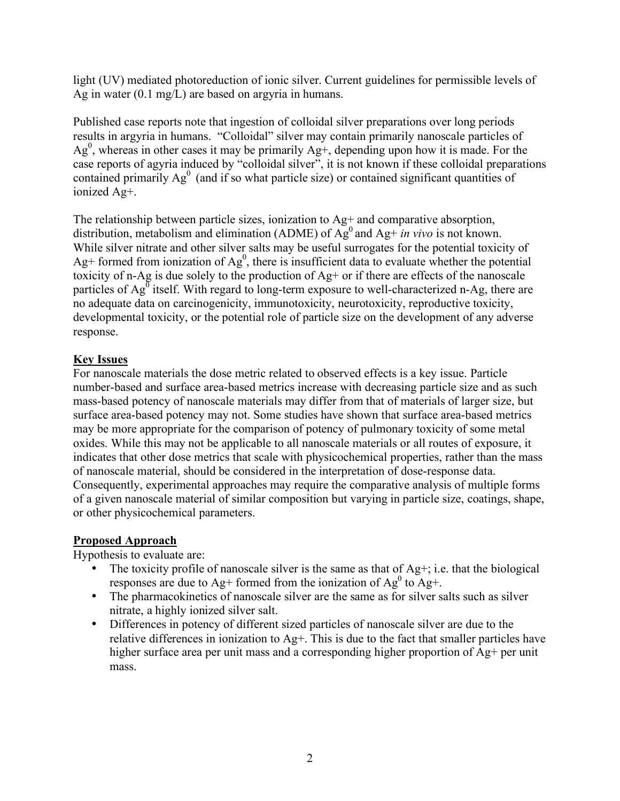light (UV) mediated photoreduction of ionic silver. Current guidelines for permissible levels of Ag in water (0.1 mg/L) are based on argyria in humans.

 Published case reports note that ingestion of colloidal silver preparations over long periods results in argyria in humans. "Colloidal" silver may contain primarily nanoscale particles of contained primarily  $Ag<sup>0</sup>$  (and if so what particle size) or contained significant quantities of  $Ag<sup>0</sup>$ , whereas in other cases it may be primarily Ag+, depending upon how it is made. For the case reports of agyria induced by "colloidal silver", it is not known if these colloidal preparations ionized Ag+.

 The relationship between particle sizes, ionization to Ag+ and comparative absorption, distribution, metabolism and elimination (ADME) of  $\overline{Ag}^0$  and  $\overline{Ag}^+$  *in vivo* is not known. While silver nitrate and other silver salts may be useful surrogates for the potential toxicity of Ag+ formed from ionization of Ag<sup>0</sup>, there is insufficient data to evaluate whether the potential no adequate data on carcinogenicity, immunotoxicity, neurotoxicity, reproductive toxicity, developmental toxicity, or the potential role of particle size on the development of any adverse toxicity of n-Ag is due solely to the production of Ag+ or if there are effects of the nanoscale particles of  $Ag^0$  itself. With regard to long-term exposure to well-characterized n-Ag, there are response.

## Key Issues

 For nanoscale materials the dose metric related to observed effects is a key issue. Particle number-based and surface area-based metrics increase with decreasing particle size and as such mass-based potency of nanoscale materials may differ from that of materials of larger size, but surface area-based potency may not. Some studies have shown that surface area-based metrics may be more appropriate for the comparison of potency of pulmonary toxicity of some metal oxides. While this may not be applicable to all nanoscale materials or all routes of exposure, it indicates that other dose metrics that scale with physicochemical properties, rather than the mass of nanoscale material, should be considered in the interpretation of dose-response data. Consequently, experimental approaches may require the comparative analysis of multiple forms of a given nanoscale material of similar composition but varying in particle size, coatings, shape, or other physicochemical parameters.

### Proposed Approach

Hypothesis to evaluate are:

- The toxicity profile of nanoscale silver is the same as that of  $Ag+$ ; i.e. that the biological responses are due to Ag+ formed from the ionization of  $Ag^0$  to Ag+.
- The pharmacokinetics of nanoscale silver are the same as for silver salts such as silver nitrate, a highly ionized silver salt.
- • Differences in potency of different sized particles of nanoscale silver are due to the relative differences in ionization to Ag+. This is due to the fact that smaller particles have higher surface area per unit mass and a corresponding higher proportion of Ag+ per unit mass.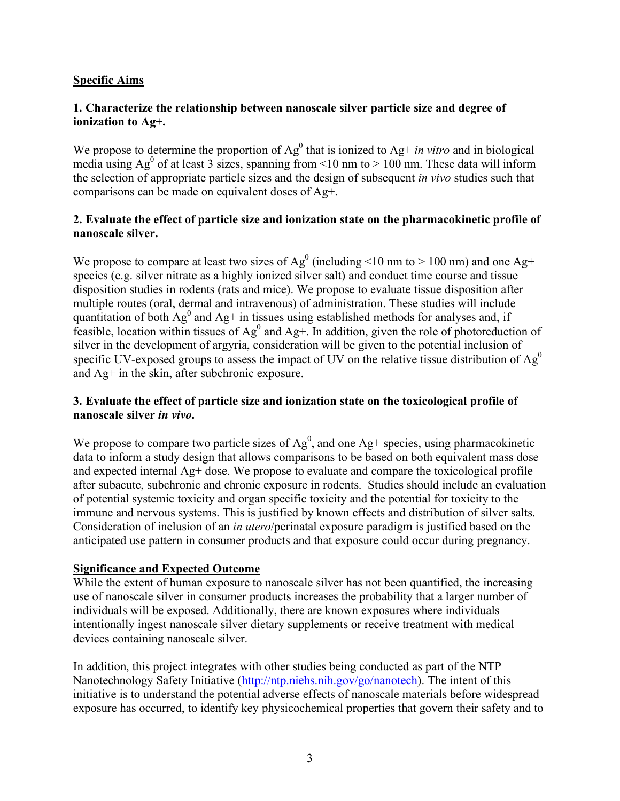### Specific Aims

### 1. Characterize the relationship between nanoscale silver particle size and degree of ionization to Ag+.

We propose to determine the proportion of  $Ag^0$  that is ionized to  $Ag^+$  *in vitro* and in biological media using Ag<sup>0</sup> of at least 3 sizes, spanning from <10 nm to > 100 nm. These data will inform the selection of appropriate particle sizes and the design of subsequent *in vivo* studies such that comparisons can be made on equivalent doses of Ag+.

#### 2. Evaluate the effect of particle size and ionization state on the pharmacokinetic profile of nanoscale silver.

We propose to compare at least two sizes of Ag<sup>0</sup> (including <10 nm to > 100 nm) and one Ag+ species (e.g. silver nitrate as a highly ionized silver salt) and conduct time course and tissue disposition studies in rodents (rats and mice). We propose to evaluate tissue disposition after multiple routes (oral, dermal and intravenous) of administration. These studies will include quantitation of both  $Ag^0$  and  $Ag^+$  in tissues using established methods for analyses and, if feasible, location within tissues of  $Ag^0$  and  $Ag^+$ . In addition, given the role of photoreduction of silver in the development of argyria, consideration will be given to the potential inclusion of specific UV-exposed groups to assess the impact of UV on the relative tissue distribution of  $Ag<sup>0</sup>$ and Ag+ in the skin, after subchronic exposure.

### 3. Evaluate the effect of particle size and ionization state on the toxicological profile of nanoscale silver *in vivo*.

We propose to compare two particle sizes of  $Ag^0$ , and one  $Ag^+$  species, using pharmacokinetic data to inform a study design that allows comparisons to be based on both equivalent mass dose and expected internal Ag+ dose. We propose to evaluate and compare the toxicological profile after subacute, subchronic and chronic exposure in rodents. Studies should include an evaluation of potential systemic toxicity and organ specific toxicity and the potential for toxicity to the immune and nervous systems. This is justified by known effects and distribution of silver salts. Consideration of inclusion of an *in utero*/perinatal exposure paradigm is justified based on the anticipated use pattern in consumer products and that exposure could occur during pregnancy.

#### Significance and Expected Outcome

 While the extent of human exposure to nanoscale silver has not been quantified, the increasing use of nanoscale silver in consumer products increases the probability that a larger number of individuals will be exposed. Additionally, there are known exposures where individuals intentionally ingest nanoscale silver dietary supplements or receive treatment with medical devices containing nanoscale silver.

 In addition, this project integrates with other studies being conducted as part of the NTP Nanotechnology Safety Initiative (http://ntp.niehs.nih.gov/go/nanotech). The intent of this initiative is to understand the potential adverse effects of nanoscale materials before widespread exposure has occurred, to identify key physicochemical properties that govern their safety and to